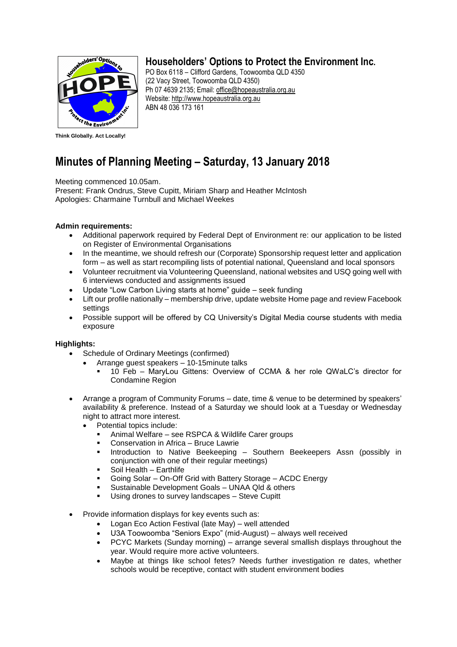

## **Householders' Options to Protect the Environment Inc.**

PO Box 6118 – Clifford Gardens, Toowoomba QLD 4350 (22 Vacy Street, Toowoomba QLD 4350) Ph 07 4639 2135; Email: office@hopeaustralia.org.au Website: [http://www.hopeaustralia.org.au](http://www.hopeaustralia.org.au/) ABN 48 036 173 161

**Think Globally. Act Locally!**

# **Minutes of Planning Meeting – Saturday, 13 January 2018**

Meeting commenced 10.05am.

Present: Frank Ondrus, Steve Cupitt, Miriam Sharp and Heather McIntosh Apologies: Charmaine Turnbull and Michael Weekes

### **Admin requirements:**

- Additional paperwork required by Federal Dept of Environment re: our application to be listed on Register of Environmental Organisations
- In the meantime, we should refresh our (Corporate) Sponsorship request letter and application form – as well as start recompiling lists of potential national, Queensland and local sponsors
- Volunteer recruitment via Volunteering Queensland, national websites and USQ going well with 6 interviews conducted and assignments issued
- Update "Low Carbon Living starts at home" guide seek funding
- Lift our profile nationally membership drive, update website Home page and review Facebook settings
- Possible support will be offered by CQ University's Digital Media course students with media exposure

### **Highlights:**

- Schedule of Ordinary Meetings (confirmed)
	- Arrange guest speakers 10-15minute talks
		- 10 Feb MaryLou Gittens: Overview of CCMA & her role QWaLC's director for Condamine Region
- Arrange a program of Community Forums date, time & venue to be determined by speakers' availability & preference. Instead of a Saturday we should look at a Tuesday or Wednesday night to attract more interest.
	- Potential topics include:
		- Animal Welfare see RSPCA & Wildlife Carer groups
		- Conservation in Africa Bruce Lawrie
		- Introduction to Native Beekeeping Southern Beekeepers Assn (possibly in conjunction with one of their regular meetings)
		- Soil Health Earthlife
		- Going Solar On-Off Grid with Battery Storage ACDC Energy
		- Sustainable Development Goals UNAA Qld & others
		- Using drones to survey landscapes Steve Cupitt
- Provide information displays for key events such as:
	- Logan Eco Action Festival (late May) well attended
	- U3A Toowoomba "Seniors Expo" (mid-August) always well received
	- PCYC Markets (Sunday morning) arrange several smallish displays throughout the year. Would require more active volunteers.
	- Maybe at things like school fetes? Needs further investigation re dates, whether schools would be receptive, contact with student environment bodies